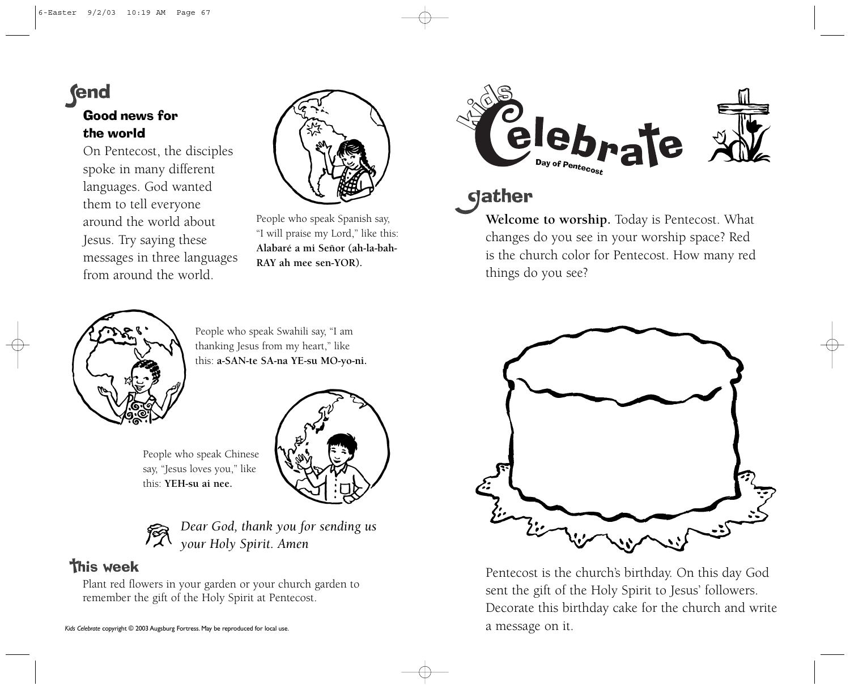# **fend**

### Good news for the world

On Pentecost, the disciples spoke in many different languages. God wanted them to tell everyone around the world about Jesus. Try saying these messages in three languages from around the world.



People who speak Spanish say, "I will praise my Lord," like this: **Alabaré a mi Señor (ah-la-bah-RAY ah mee sen-YOR).**



## dather

**Welcome to worship.** Today is Pentecost. What changes do you see in your worship space? Red is the church color for Pentecost. How many red things do you see?



People who speak Swahili say, "I am thanking Jesus from my heart," like this: **a-SAN-te SA-na YE-su MO-yo-ni.**



| say, "Jesus loves you," like |  |
|------------------------------|--|
| this: <b>YEH-su ai nee.</b>  |  |
|                              |  |

*Dear God, thank you for sending us your Holy Spirit. Amen*

## **This week**

Plant red flowers in your garden or your church garden to remember the gift of the Holy Spirit at Pentecost.



Pentecost is the church's birthday. On this day God sent the gift of the Holy Spirit to Jesus' followers. Decorate this birthday cake for the church and write a message on it.